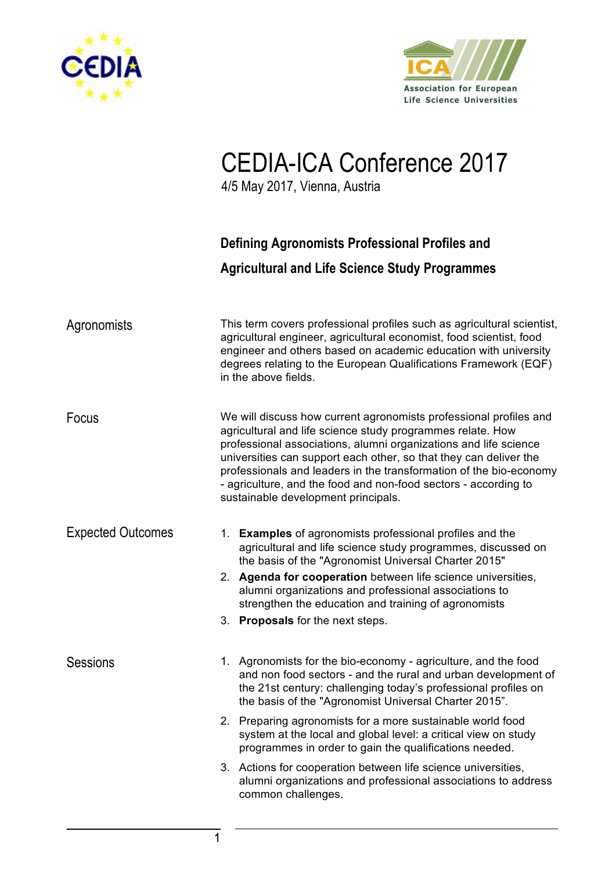



# CEDIA-ICA Conference 2017

4/5 May 2017, Vienna, Austria

## **Defining Agronomists Professional Profiles and Agricultural and Life Science Study Programmes**

| Agronomists              |                                                                                                                                                                                                                                                                                                                                                                                                                                                          | This term covers professional profiles such as agricultural scientist,<br>agricultural engineer, agricultural economist, food scientist, food<br>engineer and others based on academic education with university<br>degrees relating to the European Qualifications Framework (EQF)<br>in the above fields.                                                                                           |  |
|--------------------------|----------------------------------------------------------------------------------------------------------------------------------------------------------------------------------------------------------------------------------------------------------------------------------------------------------------------------------------------------------------------------------------------------------------------------------------------------------|-------------------------------------------------------------------------------------------------------------------------------------------------------------------------------------------------------------------------------------------------------------------------------------------------------------------------------------------------------------------------------------------------------|--|
| Focus                    | We will discuss how current agronomists professional profiles and<br>agricultural and life science study programmes relate. How<br>professional associations, alumni organizations and life science<br>universities can support each other, so that they can deliver the<br>professionals and leaders in the transformation of the bio-economy<br>- agriculture, and the food and non-food sectors - according to<br>sustainable development principals. |                                                                                                                                                                                                                                                                                                                                                                                                       |  |
| <b>Expected Outcomes</b> |                                                                                                                                                                                                                                                                                                                                                                                                                                                          | 1. Examples of agronomists professional profiles and the<br>agricultural and life science study programmes, discussed on<br>the basis of the "Agronomist Universal Charter 2015"<br>2. Agenda for cooperation between life science universities,<br>alumni organizations and professional associations to<br>strengthen the education and training of agronomists<br>3. Proposals for the next steps. |  |
| <b>Sessions</b>          |                                                                                                                                                                                                                                                                                                                                                                                                                                                          | 1. Agronomists for the bio-economy - agriculture, and the food<br>and non food sectors - and the rural and urban development of<br>the 21st century: challenging today's professional profiles on<br>the basis of the "Agronomist Universal Charter 2015".                                                                                                                                            |  |
|                          |                                                                                                                                                                                                                                                                                                                                                                                                                                                          | 2. Preparing agronomists for a more sustainable world food<br>system at the local and global level: a critical view on study<br>programmes in order to gain the qualifications needed.                                                                                                                                                                                                                |  |
|                          |                                                                                                                                                                                                                                                                                                                                                                                                                                                          | 3. Actions for cooperation between life science universities,<br>alumni organizations and professional associations to address<br>common challenges.                                                                                                                                                                                                                                                  |  |

1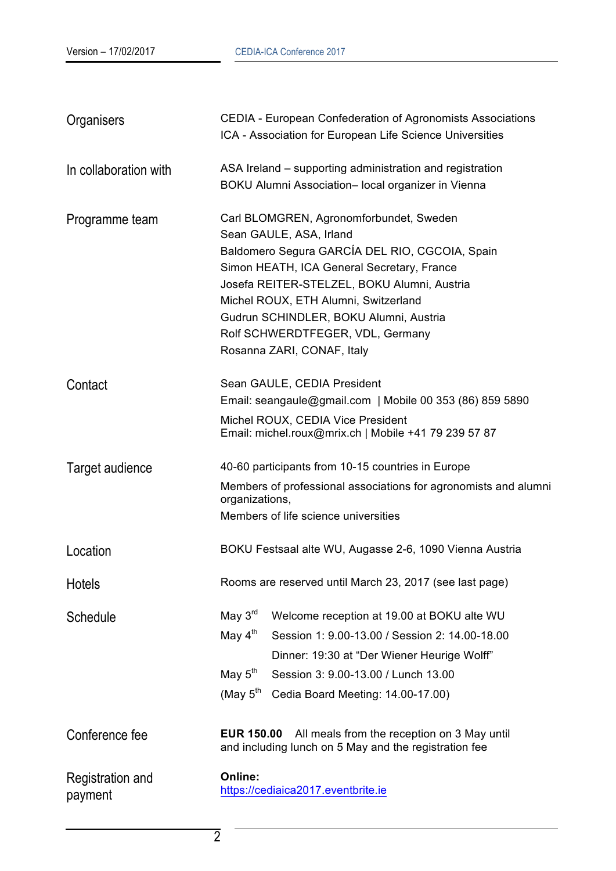| Organisers                  | CEDIA - European Confederation of Agronomists Associations<br>ICA - Association for European Life Science Universities                                                                                                                                                                                                                                                |  |  |  |  |
|-----------------------------|-----------------------------------------------------------------------------------------------------------------------------------------------------------------------------------------------------------------------------------------------------------------------------------------------------------------------------------------------------------------------|--|--|--|--|
| In collaboration with       | ASA Ireland – supporting administration and registration<br>BOKU Alumni Association- local organizer in Vienna                                                                                                                                                                                                                                                        |  |  |  |  |
| Programme team              | Carl BLOMGREN, Agronomforbundet, Sweden<br>Sean GAULE, ASA, Irland<br>Baldomero Segura GARCÍA DEL RIO, CGCOIA, Spain<br>Simon HEATH, ICA General Secretary, France<br>Josefa REITER-STELZEL, BOKU Alumni, Austria<br>Michel ROUX, ETH Alumni, Switzerland<br>Gudrun SCHINDLER, BOKU Alumni, Austria<br>Rolf SCHWERDTFEGER, VDL, Germany<br>Rosanna ZARI, CONAF, Italy |  |  |  |  |
| Contact                     | Sean GAULE, CEDIA President<br>Email: seangaule@gmail.com   Mobile 00 353 (86) 859 5890<br>Michel ROUX, CEDIA Vice President<br>Email: michel.roux@mrix.ch   Mobile +41 79 239 57 87                                                                                                                                                                                  |  |  |  |  |
| Target audience             | 40-60 participants from 10-15 countries in Europe<br>Members of professional associations for agronomists and alumni<br>organizations,<br>Members of life science universities                                                                                                                                                                                        |  |  |  |  |
| Location                    | BOKU Festsaal alte WU, Augasse 2-6, 1090 Vienna Austria                                                                                                                                                                                                                                                                                                               |  |  |  |  |
| <b>Hotels</b>               | Rooms are reserved until March 23, 2017 (see last page)                                                                                                                                                                                                                                                                                                               |  |  |  |  |
| Schedule                    | May $3^{\text{rd}}$<br>Welcome reception at 19.00 at BOKU alte WU<br>May $4^{\text{th}}$<br>Session 1: 9.00-13.00 / Session 2: 14.00-18.00<br>Dinner: 19:30 at "Der Wiener Heurige Wolff"<br>May $5th$<br>Session 3: 9.00-13.00 / Lunch 13.00<br>(May $5^{\text{th}}$ )<br>Cedia Board Meeting: 14.00-17.00)                                                          |  |  |  |  |
| Conference fee              | <b>EUR 150.00</b><br>All meals from the reception on 3 May until<br>and including lunch on 5 May and the registration fee                                                                                                                                                                                                                                             |  |  |  |  |
| Registration and<br>payment | Online:<br>https://cediaica2017.eventbrite.ie                                                                                                                                                                                                                                                                                                                         |  |  |  |  |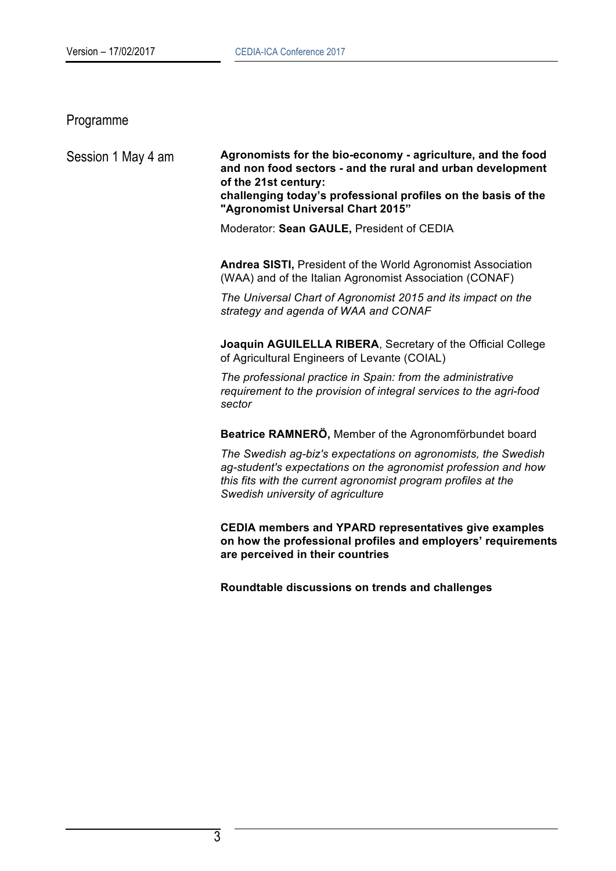### Programme

Session 1 May 4 am **Agronomists for the bio-economy - agriculture, and the food and non food sectors - and the rural and urban development of the 21st century:** 

**challenging today's professional profiles on the basis of the "Agronomist Universal Chart 2015"**

Moderator: **Sean GAULE,** President of CEDIA

**Andrea SISTI,** President of the World Agronomist Association (WAA) and of the Italian Agronomist Association (CONAF)

*The Universal Chart of Agronomist 2015 and its impact on the strategy and agenda of WAA and CONAF*

**Joaquin AGUILELLA RIBERA**, Secretary of the Official College of Agricultural Engineers of Levante (COIAL)

*The professional practice in Spain: from the administrative requirement to the provision of integral services to the agri-food sector*

**Beatrice RAMNERÖ,** Member of the Agronomförbundet board

*The Swedish ag-biz's expectations on agronomists, the Swedish ag-student's expectations on the agronomist profession and how this fits with the current agronomist program profiles at the Swedish university of agriculture*

**CEDIA members and YPARD representatives give examples on how the professional profiles and employers' requirements are perceived in their countries**

**Roundtable discussions on trends and challenges**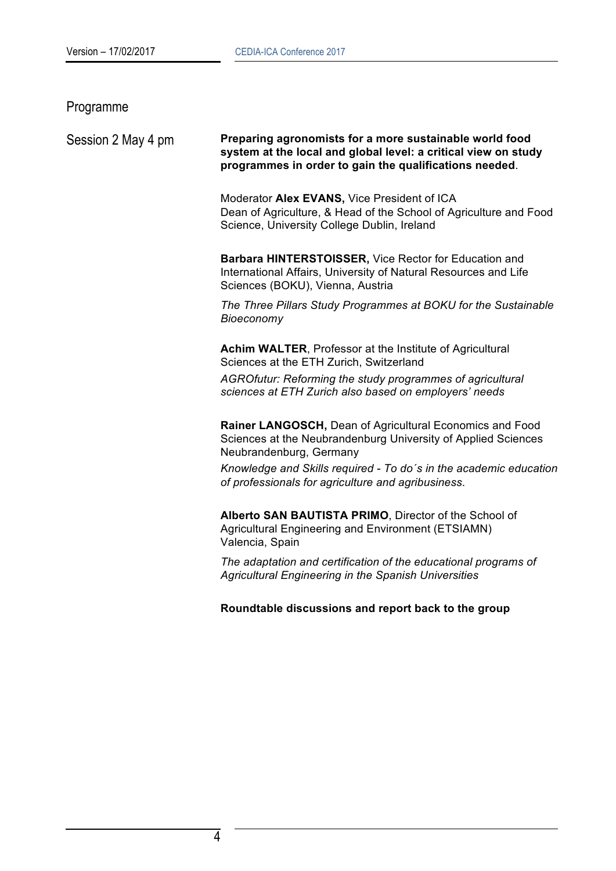Programme

Session 2 May 4 pm **Preparing agronomists for a more sustainable world food system at the local and global level: a critical view on study programmes in order to gain the qualifications needed**.

> Moderator **Alex EVANS,** Vice President of ICA Dean of Agriculture, & Head of the School of Agriculture and Food Science, University College Dublin, Ireland

**Barbara HINTERSTOISSER,** Vice Rector for Education and International Affairs, University of Natural Resources and Life Sciences (BOKU), Vienna, Austria

*The Three Pillars Study Programmes at BOKU for the Sustainable Bioeconomy*

**Achim WALTER**, Professor at the Institute of Agricultural Sciences at the ETH Zurich, Switzerland

*AGROfutur: Reforming the study programmes of agricultural sciences at ETH Zurich also based on employers' needs* 

**Rainer LANGOSCH,** Dean of Agricultural Economics and Food Sciences at the Neubrandenburg University of Applied Sciences Neubrandenburg, Germany

*Knowledge and Skills required - To do´s in the academic education of professionals for agriculture and agribusiness*.

**Alberto SAN BAUTISTA PRIMO**, Director of the School of Agricultural Engineering and Environment (ETSIAMN) Valencia, Spain

*The adaptation and certification of the educational programs of Agricultural Engineering in the Spanish Universities*

**Roundtable discussions and report back to the group**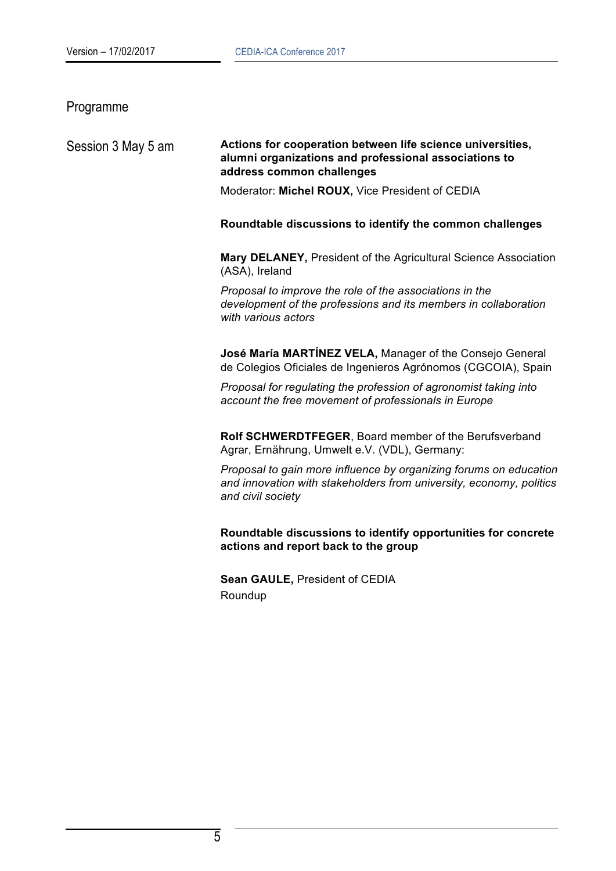### Programme

Session 3 May 5 am **Actions for cooperation between life science universities, alumni organizations and professional associations to address common challenges** 

Moderator: **Michel ROUX,** Vice President of CEDIA

#### **Roundtable discussions to identify the common challenges**

**Mary DELANEY,** President of the Agricultural Science Association (ASA), Ireland

*Proposal to improve the role of the associations in the development of the professions and its members in collaboration with various actors*

**José María MARTÍNEZ VELA,** Manager of the Consejo General de Colegios Oficiales de Ingenieros Agrónomos (CGCOIA), Spain

*Proposal for regulating the profession of agronomist taking into account the free movement of professionals in Europe*

**Rolf SCHWERDTFEGER**, Board member of the Berufsverband Agrar, Ernährung, Umwelt e.V. (VDL), Germany:

*Proposal to gain more influence by organizing forums on education and innovation with stakeholders from university, economy, politics and civil society* 

**Roundtable discussions to identify opportunities for concrete actions and report back to the group** 

**Sean GAULE,** President of CEDIA Roundup